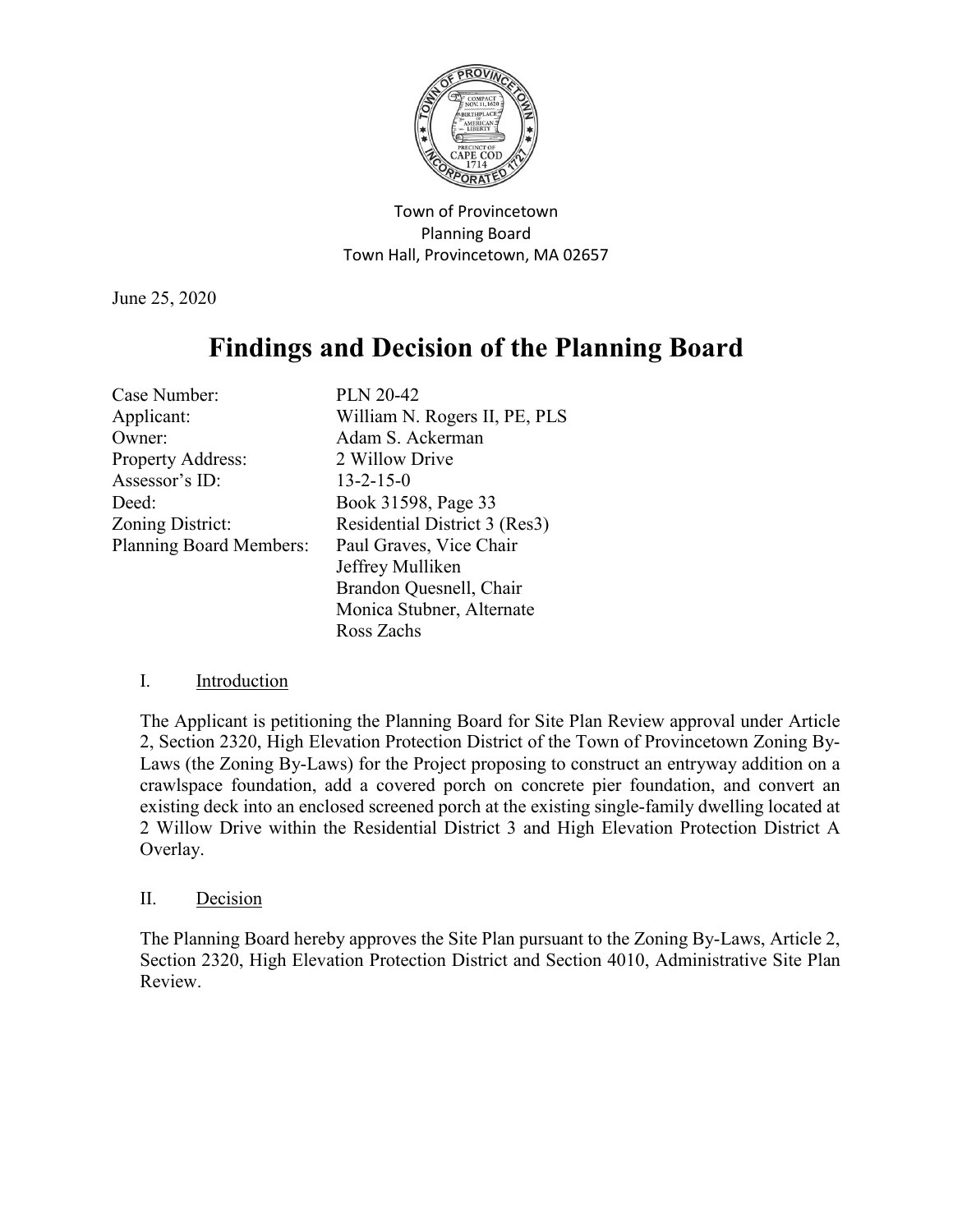

Town of Provincetown Planning Board Town Hall, Provincetown, MA 02657

June 25, 2020

# **Findings and Decision of the Planning Board**

| Case Number:                   | <b>PLN 20-42</b>              |
|--------------------------------|-------------------------------|
| Applicant:                     | William N. Rogers II, PE, PLS |
| Owner:                         | Adam S. Ackerman              |
| Property Address:              | 2 Willow Drive                |
| Assessor's ID:                 | $13 - 2 - 15 - 0$             |
| Deed:                          | Book 31598, Page 33           |
| Zoning District:               | Residential District 3 (Res3) |
| <b>Planning Board Members:</b> | Paul Graves, Vice Chair       |
|                                | Jeffrey Mulliken              |
|                                | Brandon Quesnell, Chair       |
|                                | Monica Stubner, Alternate     |
|                                | Ross Zachs                    |

## I. Introduction

The Applicant is petitioning the Planning Board for Site Plan Review approval under Article 2, Section 2320, High Elevation Protection District of the Town of Provincetown Zoning By-Laws (the Zoning By-Laws) for the Project proposing to construct an entryway addition on a crawlspace foundation, add a covered porch on concrete pier foundation, and convert an existing deck into an enclosed screened porch at the existing single-family dwelling located at 2 Willow Drive within the Residential District 3 and High Elevation Protection District A Overlay.

## II. Decision

The Planning Board hereby approves the Site Plan pursuant to the Zoning By-Laws, Article 2, Section 2320, High Elevation Protection District and Section 4010, Administrative Site Plan Review.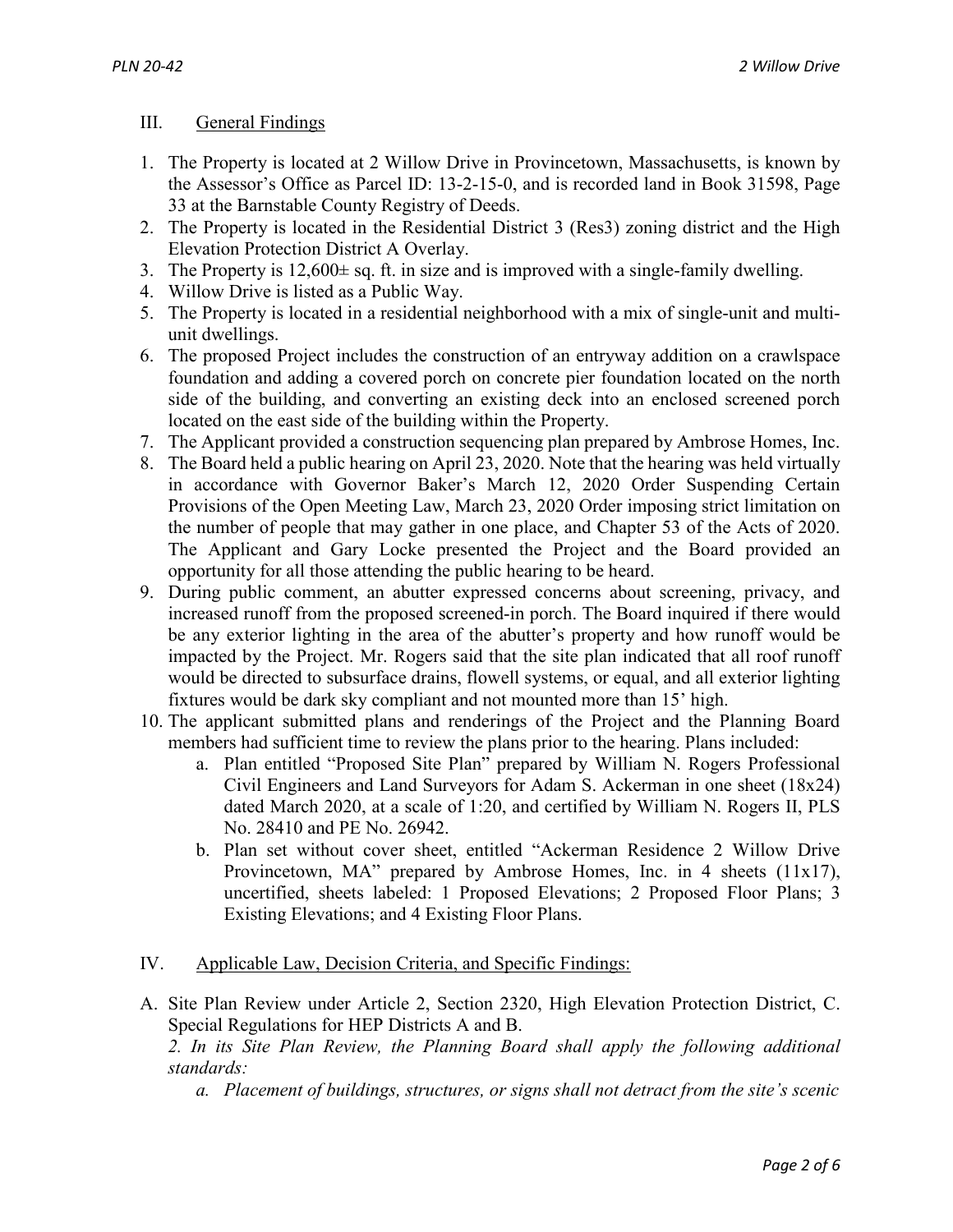## III. General Findings

- 1. The Property is located at 2 Willow Drive in Provincetown, Massachusetts, is known by the Assessor's Office as Parcel ID: 13-2-15-0, and is recorded land in Book 31598, Page 33 at the Barnstable County Registry of Deeds.
- 2. The Property is located in the Residential District 3 (Res3) zoning district and the High Elevation Protection District A Overlay.
- 3. The Property is  $12,600 \pm$  sq. ft. in size and is improved with a single-family dwelling.
- 4. Willow Drive is listed as a Public Way.
- 5. The Property is located in a residential neighborhood with a mix of single-unit and multiunit dwellings.
- 6. The proposed Project includes the construction of an entryway addition on a crawlspace foundation and adding a covered porch on concrete pier foundation located on the north side of the building, and converting an existing deck into an enclosed screened porch located on the east side of the building within the Property.
- 7. The Applicant provided a construction sequencing plan prepared by Ambrose Homes, Inc.
- 8. The Board held a public hearing on April 23, 2020. Note that the hearing was held virtually in accordance with Governor Baker's March 12, 2020 Order Suspending Certain Provisions of the Open Meeting Law, March 23, 2020 Order imposing strict limitation on the number of people that may gather in one place, and Chapter 53 of the Acts of 2020. The Applicant and Gary Locke presented the Project and the Board provided an opportunity for all those attending the public hearing to be heard.
- 9. During public comment, an abutter expressed concerns about screening, privacy, and increased runoff from the proposed screened-in porch. The Board inquired if there would be any exterior lighting in the area of the abutter's property and how runoff would be impacted by the Project. Mr. Rogers said that the site plan indicated that all roof runoff would be directed to subsurface drains, flowell systems, or equal, and all exterior lighting fixtures would be dark sky compliant and not mounted more than 15' high.
- 10. The applicant submitted plans and renderings of the Project and the Planning Board members had sufficient time to review the plans prior to the hearing. Plans included:
	- a. Plan entitled "Proposed Site Plan" prepared by William N. Rogers Professional Civil Engineers and Land Surveyors for Adam S. Ackerman in one sheet (18x24) dated March 2020, at a scale of 1:20, and certified by William N. Rogers II, PLS No. 28410 and PE No. 26942.
	- b. Plan set without cover sheet, entitled "Ackerman Residence 2 Willow Drive Provincetown, MA" prepared by Ambrose Homes, Inc. in 4 sheets (11x17), uncertified, sheets labeled: 1 Proposed Elevations; 2 Proposed Floor Plans; 3 Existing Elevations; and 4 Existing Floor Plans.
- IV. Applicable Law, Decision Criteria, and Specific Findings:
- A. Site Plan Review under Article 2, Section 2320, High Elevation Protection District, C. Special Regulations for HEP Districts A and B.

*2. In its Site Plan Review, the Planning Board shall apply the following additional standards:*

*a. Placement of buildings, structures, or signs shall not detract from the site's scenic*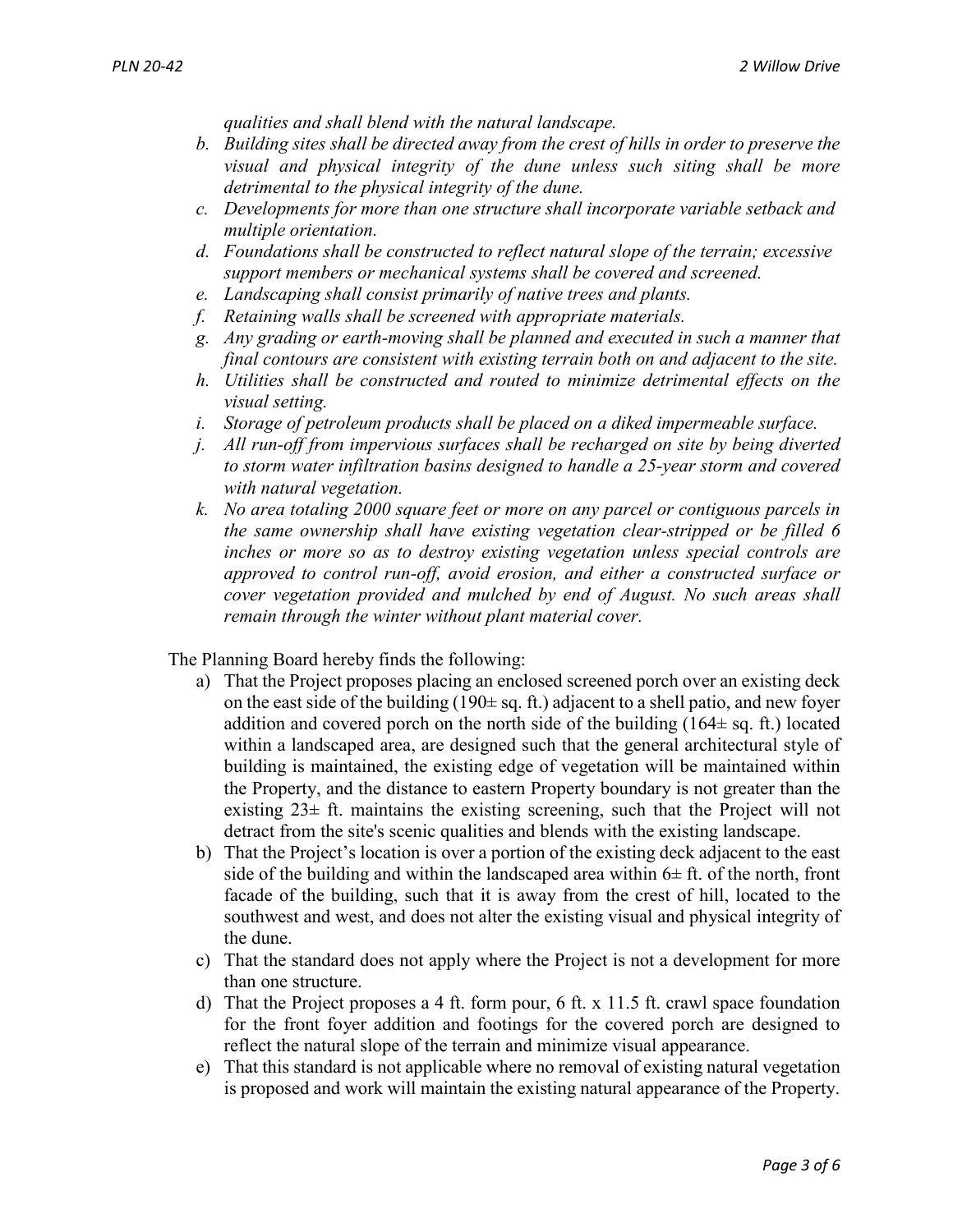*qualities and shall blend with the natural landscape.*

- *b. Building sites shall be directed away from the crest of hills in order to preserve the visual and physical integrity of the dune unless such siting shall be more detrimental to the physical integrity of the dune.*
- *c. Developments for more than one structure shall incorporate variable setback and multiple orientation.*
- *d. Foundations shall be constructed to reflect natural slope of the terrain; excessive support members or mechanical systems shall be covered and screened.*
- *e. Landscaping shall consist primarily of native trees and plants.*
- *f. Retaining walls shall be screened with appropriate materials.*
- *g. Any grading or earth-moving shall be planned and executed in such a manner that final contours are consistent with existing terrain both on and adjacent to the site.*
- *h. Utilities shall be constructed and routed to minimize detrimental effects on the visual setting.*
- *i. Storage of petroleum products shall be placed on a diked impermeable surface.*
- *j. All run-off from impervious surfaces shall be recharged on site by being diverted to storm water infiltration basins designed to handle a 25-year storm and covered with natural vegetation.*
- *k. No area totaling 2000 square feet or more on any parcel or contiguous parcels in the same ownership shall have existing vegetation clear-stripped or be filled 6 inches or more so as to destroy existing vegetation unless special controls are approved to control run-off, avoid erosion, and either a constructed surface or cover vegetation provided and mulched by end of August. No such areas shall remain through the winter without plant material cover.*

The Planning Board hereby finds the following:

- a) That the Project proposes placing an enclosed screened porch over an existing deck on the east side of the building  $(190 \pm sq. \text{ ft.})$  adjacent to a shell patio, and new foyer addition and covered porch on the north side of the building  $(164 \pm sq. \text{ ft.})$  located within a landscaped area, are designed such that the general architectural style of building is maintained, the existing edge of vegetation will be maintained within the Property, and the distance to eastern Property boundary is not greater than the existing  $23\pm$  ft. maintains the existing screening, such that the Project will not detract from the site's scenic qualities and blends with the existing landscape.
- b) That the Project's location is over a portion of the existing deck adjacent to the east side of the building and within the landscaped area within  $6\pm$  ft. of the north, front facade of the building, such that it is away from the crest of hill, located to the southwest and west, and does not alter the existing visual and physical integrity of the dune.
- c) That the standard does not apply where the Project is not a development for more than one structure.
- d) That the Project proposes a 4 ft. form pour, 6 ft. x 11.5 ft. crawl space foundation for the front foyer addition and footings for the covered porch are designed to reflect the natural slope of the terrain and minimize visual appearance.
- e) That this standard is not applicable where no removal of existing natural vegetation is proposed and work will maintain the existing natural appearance of the Property.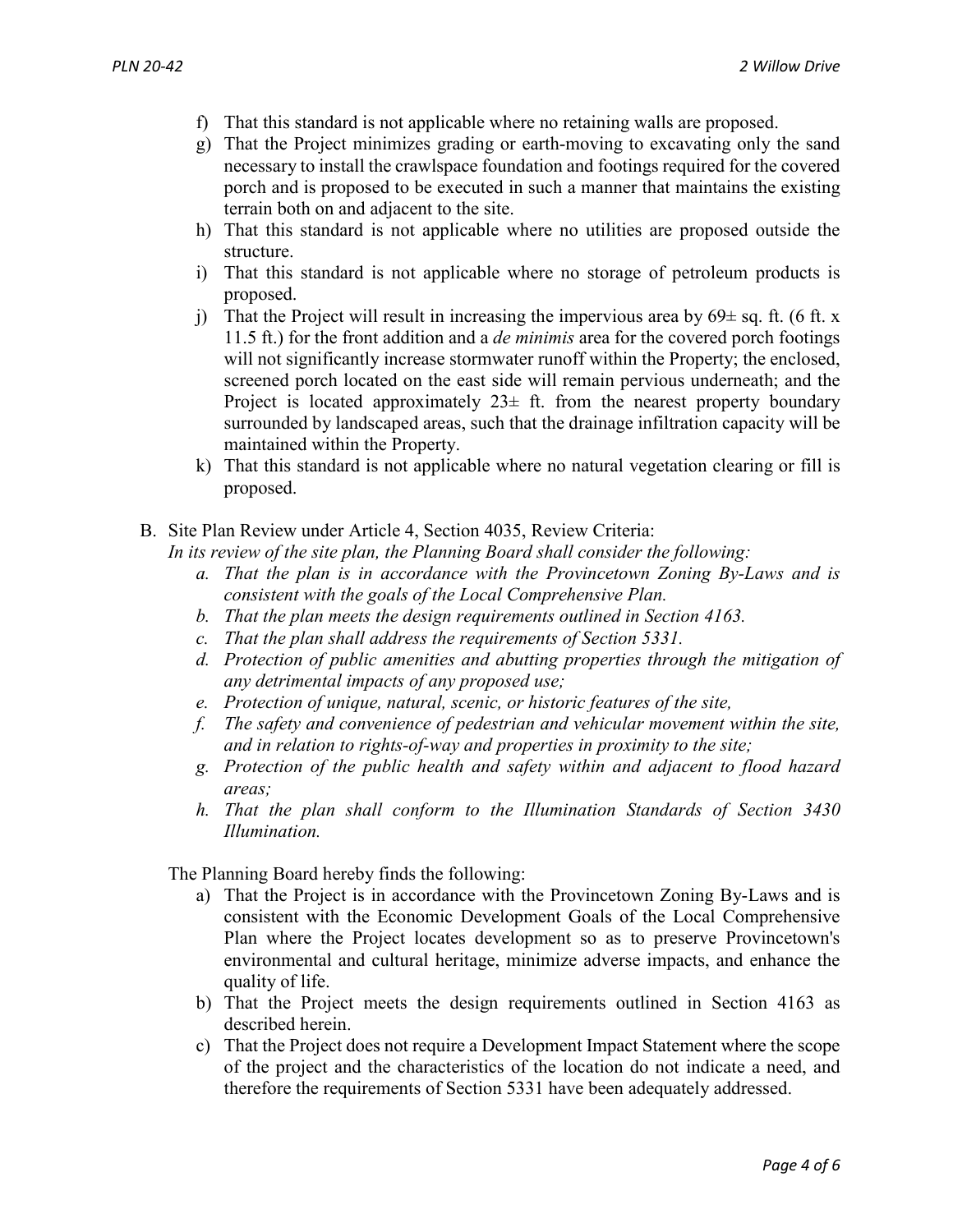- f) That this standard is not applicable where no retaining walls are proposed.
- g) That the Project minimizes grading or earth-moving to excavating only the sand necessary to install the crawlspace foundation and footings required for the covered porch and is proposed to be executed in such a manner that maintains the existing terrain both on and adjacent to the site.
- h) That this standard is not applicable where no utilities are proposed outside the structure.
- i) That this standard is not applicable where no storage of petroleum products is proposed.
- j) That the Project will result in increasing the impervious area by  $69\pm$  sq. ft. (6 ft. x 11.5 ft.) for the front addition and a *de minimis* area for the covered porch footings will not significantly increase stormwater runoff within the Property; the enclosed, screened porch located on the east side will remain pervious underneath; and the Project is located approximately  $23\pm$  ft. from the nearest property boundary surrounded by landscaped areas, such that the drainage infiltration capacity will be maintained within the Property.
- k) That this standard is not applicable where no natural vegetation clearing or fill is proposed.
- B. Site Plan Review under Article 4, Section 4035, Review Criteria:

*In its review of the site plan, the Planning Board shall consider the following:*

- *a. That the plan is in accordance with the Provincetown Zoning By-Laws and is consistent with the goals of the Local Comprehensive Plan.*
- *b. That the plan meets the design requirements outlined in Section 4163.*
- *c. That the plan shall address the requirements of Section 5331.*
- *d. Protection of public amenities and abutting properties through the mitigation of any detrimental impacts of any proposed use;*
- *e. Protection of unique, natural, scenic, or historic features of the site,*
- *f. The safety and convenience of pedestrian and vehicular movement within the site, and in relation to rights-of-way and properties in proximity to the site;*
- *g. Protection of the public health and safety within and adjacent to flood hazard areas;*
- *h. That the plan shall conform to the Illumination Standards of Section 3430 Illumination.*

The Planning Board hereby finds the following:

- a) That the Project is in accordance with the Provincetown Zoning By-Laws and is consistent with the Economic Development Goals of the Local Comprehensive Plan where the Project locates development so as to preserve Provincetown's environmental and cultural heritage, minimize adverse impacts, and enhance the quality of life.
- b) That the Project meets the design requirements outlined in Section 4163 as described herein.
- c) That the Project does not require a Development Impact Statement where the scope of the project and the characteristics of the location do not indicate a need, and therefore the requirements of Section 5331 have been adequately addressed.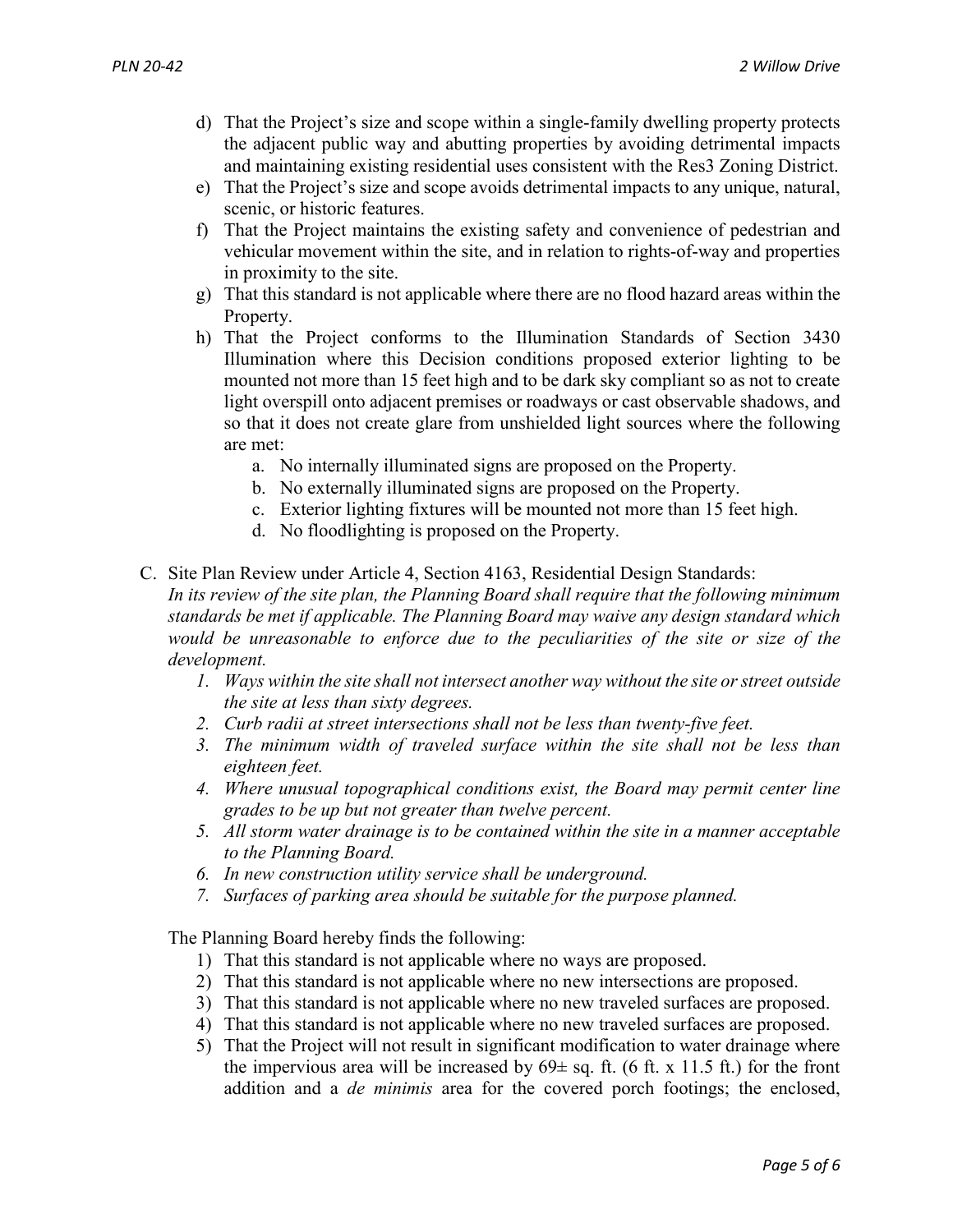- d) That the Project's size and scope within a single-family dwelling property protects the adjacent public way and abutting properties by avoiding detrimental impacts and maintaining existing residential uses consistent with the Res3 Zoning District.
- e) That the Project's size and scope avoids detrimental impacts to any unique, natural, scenic, or historic features.
- f) That the Project maintains the existing safety and convenience of pedestrian and vehicular movement within the site, and in relation to rights-of-way and properties in proximity to the site.
- g) That this standard is not applicable where there are no flood hazard areas within the Property.
- h) That the Project conforms to the Illumination Standards of Section 3430 Illumination where this Decision conditions proposed exterior lighting to be mounted not more than 15 feet high and to be dark sky compliant so as not to create light overspill onto adjacent premises or roadways or cast observable shadows, and so that it does not create glare from unshielded light sources where the following are met:
	- a. No internally illuminated signs are proposed on the Property.
	- b. No externally illuminated signs are proposed on the Property.
	- c. Exterior lighting fixtures will be mounted not more than 15 feet high.
	- d. No floodlighting is proposed on the Property.
- C. Site Plan Review under Article 4, Section 4163, Residential Design Standards: *In its review of the site plan, the Planning Board shall require that the following minimum standards be met if applicable. The Planning Board may waive any design standard which would be unreasonable to enforce due to the peculiarities of the site or size of the* 
	- *development. 1. Ways within the site shall not intersect another way without the site or street outside the site at less than sixty degrees.*
		- *2. Curb radii at street intersections shall not be less than twenty-five feet.*
		- *3. The minimum width of traveled surface within the site shall not be less than eighteen feet.*
		- *4. Where unusual topographical conditions exist, the Board may permit center line grades to be up but not greater than twelve percent.*
		- *5. All storm water drainage is to be contained within the site in a manner acceptable to the Planning Board.*
		- *6. In new construction utility service shall be underground.*
		- *7. Surfaces of parking area should be suitable for the purpose planned.*

The Planning Board hereby finds the following:

- 1) That this standard is not applicable where no ways are proposed.
- 2) That this standard is not applicable where no new intersections are proposed.
- 3) That this standard is not applicable where no new traveled surfaces are proposed.
- 4) That this standard is not applicable where no new traveled surfaces are proposed.
- 5) That the Project will not result in significant modification to water drainage where the impervious area will be increased by  $69 \pm sq$ . ft. (6 ft. x 11.5 ft.) for the front addition and a *de minimis* area for the covered porch footings; the enclosed,